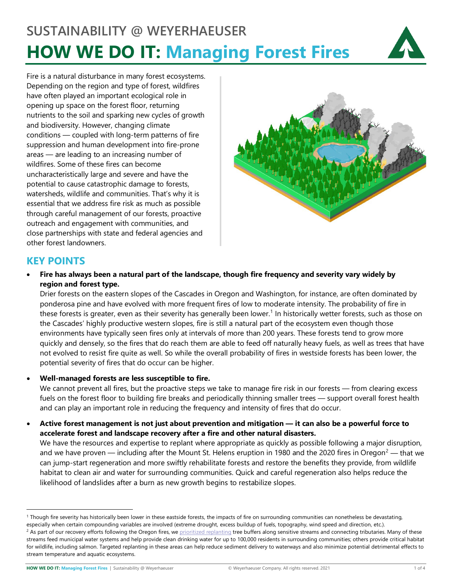# **SUSTAINABILITY @ WEYERHAEUSER HOW WE DO IT: Managing Forest Fires**



Fire is a natural disturbance in many forest ecosystems. Depending on the region and type of forest, wildfires have often played an important ecological role in opening up space on the forest floor, returning nutrients to the soil and sparking new cycles of growth and biodiversity. However, changing climate conditions — coupled with long-term patterns of fire suppression and human development into fire-prone areas — are leading to an increasing number of wildfires. Some of these fires can become uncharacteristically large and severe and have the potential to cause catastrophic damage to forests, watersheds, wildlife and communities. That's why it is essential that we address fire risk as much as possible through careful management of our forests, proactive outreach and engagement with communities, and close partnerships with state and federal agencies and other forest landowners.



# **KEY POINTS**

• **Fire has always been a natural part of the landscape, though fire frequency and severity vary widely by region and forest type.**

Drier forests on the eastern slopes of the Cascades in Oregon and Washington, for instance, are often dominated by ponderosa pine and have evolved with more frequent fires of low to moderate intensity. The probability of fire in these forests is greater, even as their severity has generally been lower. [1](#page-0-0) In historically wetter forests, such as those on the Cascades' highly productive western slopes, fire is still a natural part of the ecosystem even though those environments have typically seen fires only at intervals of more than 200 years. These forests tend to grow more quickly and densely, so the fires that do reach them are able to feed off naturally heavy fuels, as well as trees that have not evolved to resist fire quite as well. So while the overall probability of fires in westside forests has been lower, the potential severity of fires that do occur can be higher.

• **Well-managed forests are less susceptible to fire.**

We cannot prevent all fires, but the proactive steps we take to manage fire risk in our forests — from clearing excess fuels on the forest floor to building fire breaks and periodically thinning smaller trees — support overall forest health and can play an important role in reducing the frequency and intensity of fires that do occur.

• **Active forest management is not just about prevention and mitigation — it can also be a powerful force to accelerate forest and landscape recovery after a fire and other natural disasters.**

We have the resources and expertise to replant where appropriate as quickly as possible following a major disruption, and we have proven — including after the Mount St. Helens eruption in 1980 and the [2](#page-0-1)020 fires in Oregon $^2$  — that we can jump-start regeneration and more swiftly rehabilitate forests and restore the benefits they provide, from wildlife habitat to clean air and water for surrounding communities. Quick and careful regeneration also helps reduce the likelihood of landslides after a burn as new growth begins to restabilize slopes.

<span id="page-0-1"></span><span id="page-0-0"></span><sup>&</sup>lt;sup>1</sup> Though fire severity has historically been lower in these eastside forests, the impacts of fire on surrounding communities can nonetheless be devastating, especially when certain compounding variables are involved (extreme drought, excess buildup of fuels, topography, wind speed and direction, etc.).<br><sup>2</sup> As part of our recovery efforts following the Oregon fires, we prioriti streams feed municipal water systems and help provide clean drinking water for up to 100,000 residents in surrounding communities; others provide critical habitat for wildlife, including salmon. Targeted replanting in these areas can help reduce sediment delivery to waterways and also minimize potential detrimental effects to stream temperature and aquatic ecosystems.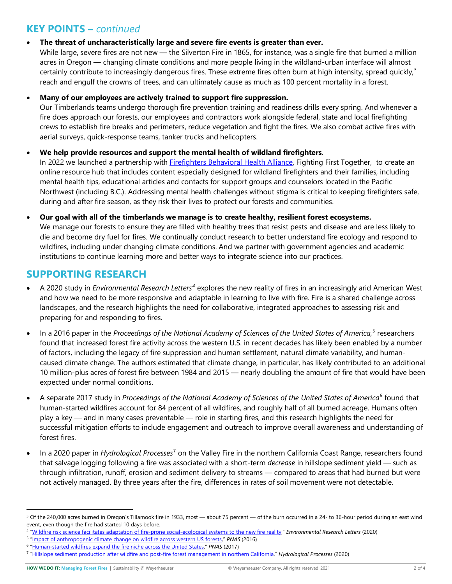# **KEY POINTS –** *continued*

## • **The threat of uncharacteristically large and severe fire events is greater than ever.**

While large, severe fires are not new — the Silverton Fire in 1865, for instance, was a single fire that burned a million acres in Oregon — changing climate conditions and more people living in the wildland-urban interface will almost certainly contribute to increasingly dangerous fires. These extreme fires often burn at high intensity, spread quickly,<sup>[3](#page-1-0)</sup> reach and engulf the crowns of trees, and can ultimately cause as much as 100 percent mortality in a forest.

## • **Many of our employees are actively trained to support fire suppression.**

Our Timberlands teams undergo thorough fire prevention training and readiness drills every spring. And whenever a fire does approach our forests, our employees and contractors work alongside federal, state and local firefighting crews to establish fire breaks and perimeters, reduce vegetation and fight the fires. We also combat active fires with aerial surveys, quick-response teams, tanker trucks and helicopters.

# • **We help provide resources and support the mental health of wildland firefighters**.

In 2022 we launched a partnership with *Firefighters Behavioral Health Alliance*, Fighting First Together, to create an online resource hub that includes content especially designed for wildland firefighters and their families, including mental health tips, educational articles and contacts for support groups and counselors located in the Pacific Northwest (including B.C.). Addressing mental health challenges without stigma is critical to keeping firefighters safe, during and after fire season, as they risk their lives to protect our forests and communities.

#### • **Our goal with all of the timberlands we manage is to create healthy, resilient forest ecosystems.** We manage our forests to ensure they are filled with healthy trees that resist pests and disease and are less likely to

die and become dry fuel for fires. We continually conduct research to better understand fire ecology and respond to wildfires, including under changing climate conditions. And we partner with government agencies and academic institutions to continue learning more and better ways to integrate science into our practices.

# **SUPPORTING RESEARCH**

- A 2020 study in *Environmental Research Letters[4](#page-1-1)* explores the new reality of fires in an increasingly arid American West and how we need to be more responsive and adaptable in learning to live with fire. Fire is a shared challenge across landscapes, and the research highlights the need for collaborative, integrated approaches to assessing risk and preparing for and responding to fires.
- In a 2016 paper in the *Proceedings of the National Academy of Sciences of the United States of America,* [5](#page-1-2) researchers found that increased forest fire activity across the western U.S. in recent decades has likely been enabled by a number of factors, including the legacy of fire suppression and human settlement, natural climate variability, and humancaused climate change. The authors estimated that climate change, in particular, has likely contributed to an additional 10 million-plus acres of forest fire between 1984 and 2015 — nearly doubling the amount of fire that would have been expected under normal conditions.
- A separate 2017 study in *Proceedings of the National Academy of Sciences of the United States of America[6](#page-1-3)* found that human-started wildfires account for 84 percent of all wildfires, and roughly half of all burned acreage. Humans often play a key — and in many cases preventable — role in starting fires, and this research highlights the need for successful mitigation efforts to include engagement and outreach to improve overall awareness and understanding of forest fires.
- In a 2020 paper in *Hydrological Processes*[7](#page-1-4) on the Valley Fire in the northern California Coast Range, researchers found that salvage logging following a fire was associated with a short-term *decrease* in hillslope sediment yield — such as through infiltration, runoff, erosion and sediment delivery to streams — compared to areas that had burned but were not actively managed. By three years after the fire, differences in rates of soil movement were not detectable.

<span id="page-1-0"></span><sup>&</sup>lt;sup>3</sup> Of the 240,000 acres burned in Oregon's Tillamook fire in 1933, most — about 75 percent — of the burn occurred in a 24- to 36-hour period during an east wind event, even though the fire had started 10 days before.

<span id="page-1-1"></span><sup>4</sup> ["Wildfire risk science facilitates adaptation of fire-prone social-ecological systems to the new fire reality,"](https://iopscience.iop.org/article/10.1088/1748-9326/ab6498) *Environmental Research Letters* (2020)

<span id="page-1-2"></span><sup>5</sup> ["Impact of anthropogenic climate change on wildfire across western US forests,"](https://www.pnas.org/content/113/42/11770) *PNAS* (2016)

<span id="page-1-3"></span><sup>6</sup> ["Human-started wildfires expand the fire niche across the United States,"](https://www.pnas.org/content/114/11/2946) *PNAS* (2017)

<span id="page-1-4"></span><sup>7</sup> ["Hillslope sediment production after wildfire and post-fire forest management in northern California,"](https://onlinelibrary.wiley.com/doi/10.1002/hyp.13932) *Hydrological Processes* (2020)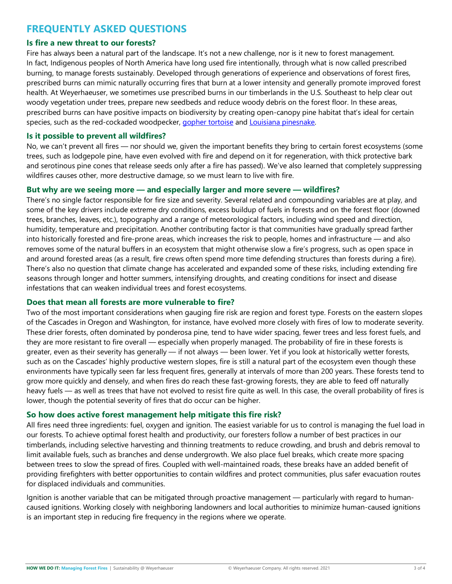# **FREQUENTLY ASKED QUESTIONS**

#### **Is fire a new threat to our forests?**

Fire has always been a natural part of the landscape. It's not a new challenge, nor is it new to forest management. In fact, Indigenous peoples of North America have long used fire intentionally, through what is now called prescribed burning, to manage forests sustainably. Developed through generations of experience and observations of forest fires, prescribed burns can mimic naturally occurring fires that burn at a lower intensity and generally promote improved forest health. At Weyerhaeuser, we sometimes use prescribed burns in our timberlands in the U.S. Southeast to help clear out woody vegetation under trees, prepare new seedbeds and reduce woody debris on the forest floor. In these areas, prescribed burns can have positive impacts on biodiversity by creating open-canopy pine habitat that's ideal for certain species, such as the red-cockaded woodpecker, [gopher tortoise](https://www.weyerhaeuser.com/blog/tortoise-wins-the-race-collaborative-effort-in-mississippi-gives-threatened-species-fighting-chance/) and Louisiana pinesnake.

#### **Is it possible to prevent all wildfires?**

No, we can't prevent all fires — nor should we, given the important benefits they bring to certain forest ecosystems (some trees, such as lodgepole pine, have even evolved with fire and depend on it for regeneration, with thick protective bark and serotinous pine cones that release seeds only after a fire has passed). We've also learned that completely suppressing wildfires causes other, more destructive damage, so we must learn to live with fire.

#### **But why are we seeing more — and especially larger and more severe — wildfires?**

There's no single factor responsible for fire size and severity. Several related and compounding variables are at play, and some of the key drivers include extreme dry conditions, excess buildup of fuels in forests and on the forest floor (downed trees, branches, leaves, etc.), topography and a range of meteorological factors, including wind speed and direction, humidity, temperature and precipitation. Another contributing factor is that communities have gradually spread farther into historically forested and fire-prone areas, which increases the risk to people, homes and infrastructure — and also removes some of the natural buffers in an ecosystem that might otherwise slow a fire's progress, such as open space in and around forested areas (as a result, fire crews often spend more time defending structures than forests during a fire). There's also no question that climate change has accelerated and expanded some of these risks, including extending fire seasons through longer and hotter summers, intensifying droughts, and creating conditions for insect and disease infestations that can weaken individual trees and forest ecosystems.

#### **Does that mean all forests are more vulnerable to fire?**

Two of the most important considerations when gauging fire risk are region and forest type. Forests on the eastern slopes of the Cascades in Oregon and Washington, for instance, have evolved more closely with fires of low to moderate severity. These drier forests, often dominated by ponderosa pine, tend to have wider spacing, fewer trees and less forest fuels, and they are more resistant to fire overall — especially when properly managed. The probability of fire in these forests is greater, even as their severity has generally — if not always — been lower. Yet if you look at historically wetter forests, such as on the Cascades' highly productive western slopes, fire is still a natural part of the ecosystem even though these environments have typically seen far less frequent fires, generally at intervals of more than 200 years. These forests tend to grow more quickly and densely, and when fires do reach these fast-growing forests, they are able to feed off naturally heavy fuels — as well as trees that have not evolved to resist fire quite as well. In this case, the overall probability of fires is lower, though the potential severity of fires that do occur can be higher.

#### **So how does active forest management help mitigate this fire risk?**

All fires need three ingredients: fuel, oxygen and ignition. The easiest variable for us to control is managing the fuel load in our forests. To achieve optimal forest health and productivity, our foresters follow a number of best practices in our timberlands, including selective harvesting and thinning treatments to reduce crowding, and brush and debris removal to limit available fuels, such as branches and dense undergrowth. We also place fuel breaks, which create more spacing between trees to slow the spread of fires. Coupled with well-maintained roads, these breaks have an added benefit of providing firefighters with better opportunities to contain wildfires and protect communities, plus safer evacuation routes for displaced individuals and communities.

Ignition is another variable that can be mitigated through proactive management — particularly with regard to humancaused ignitions. Working closely with neighboring landowners and local authorities to minimize human-caused ignitions is an important step in reducing fire frequency in the regions where we operate.